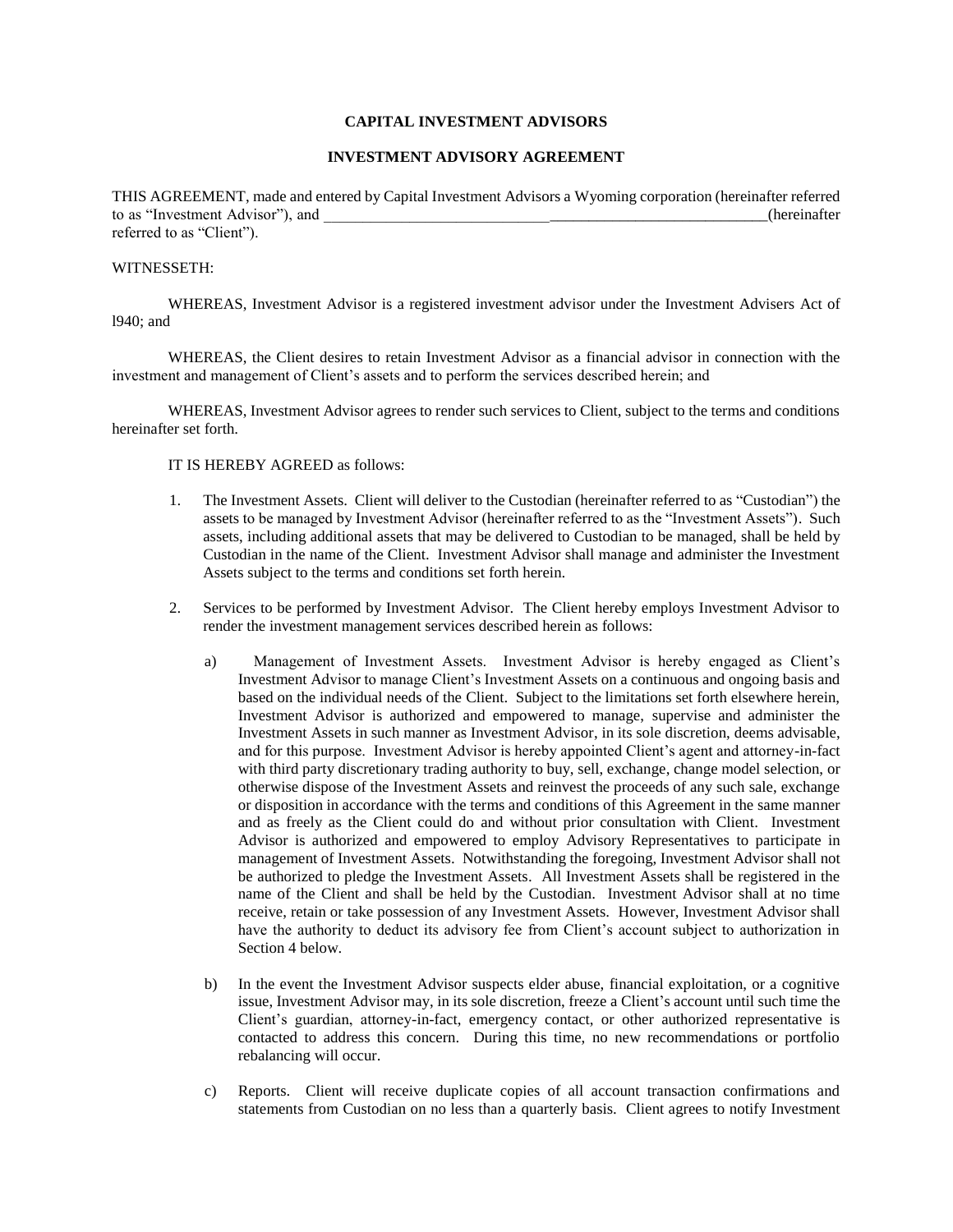# **CAPITAL INVESTMENT ADVISORS**

# **INVESTMENT ADVISORY AGREEMENT**

THIS AGREEMENT, made and entered by Capital Investment Advisors a Wyoming corporation (hereinafter referred to as "Investment Advisor"), and \_\_\_\_\_\_\_\_\_\_\_\_\_\_\_\_\_\_\_\_\_\_\_\_\_\_\_\_\_\_\_\_\_\_\_\_\_\_\_\_\_\_\_\_\_\_\_\_\_\_\_\_\_\_\_\_\_(hereinafter referred to as "Client").

### WITNESSETH:

WHEREAS, Investment Advisor is a registered investment advisor under the Investment Advisers Act of l940; and

WHEREAS, the Client desires to retain Investment Advisor as a financial advisor in connection with the investment and management of Client's assets and to perform the services described herein; and

WHEREAS, Investment Advisor agrees to render such services to Client, subject to the terms and conditions hereinafter set forth.

### IT IS HEREBY AGREED as follows:

- 1. The Investment Assets. Client will deliver to the Custodian (hereinafter referred to as "Custodian") the assets to be managed by Investment Advisor (hereinafter referred to as the "Investment Assets"). Such assets, including additional assets that may be delivered to Custodian to be managed, shall be held by Custodian in the name of the Client. Investment Advisor shall manage and administer the Investment Assets subject to the terms and conditions set forth herein.
- 2. Services to be performed by Investment Advisor. The Client hereby employs Investment Advisor to render the investment management services described herein as follows:
	- a) Management of Investment Assets. Investment Advisor is hereby engaged as Client's Investment Advisor to manage Client's Investment Assets on a continuous and ongoing basis and based on the individual needs of the Client. Subject to the limitations set forth elsewhere herein, Investment Advisor is authorized and empowered to manage, supervise and administer the Investment Assets in such manner as Investment Advisor, in its sole discretion, deems advisable, and for this purpose. Investment Advisor is hereby appointed Client's agent and attorney-in-fact with third party discretionary trading authority to buy, sell, exchange, change model selection, or otherwise dispose of the Investment Assets and reinvest the proceeds of any such sale, exchange or disposition in accordance with the terms and conditions of this Agreement in the same manner and as freely as the Client could do and without prior consultation with Client. Investment Advisor is authorized and empowered to employ Advisory Representatives to participate in management of Investment Assets. Notwithstanding the foregoing, Investment Advisor shall not be authorized to pledge the Investment Assets. All Investment Assets shall be registered in the name of the Client and shall be held by the Custodian. Investment Advisor shall at no time receive, retain or take possession of any Investment Assets. However, Investment Advisor shall have the authority to deduct its advisory fee from Client's account subject to authorization in Section 4 below.
	- b) In the event the Investment Advisor suspects elder abuse, financial exploitation, or a cognitive issue, Investment Advisor may, in its sole discretion, freeze a Client's account until such time the Client's guardian, attorney-in-fact, emergency contact, or other authorized representative is contacted to address this concern. During this time, no new recommendations or portfolio rebalancing will occur.
	- c) Reports. Client will receive duplicate copies of all account transaction confirmations and statements from Custodian on no less than a quarterly basis. Client agrees to notify Investment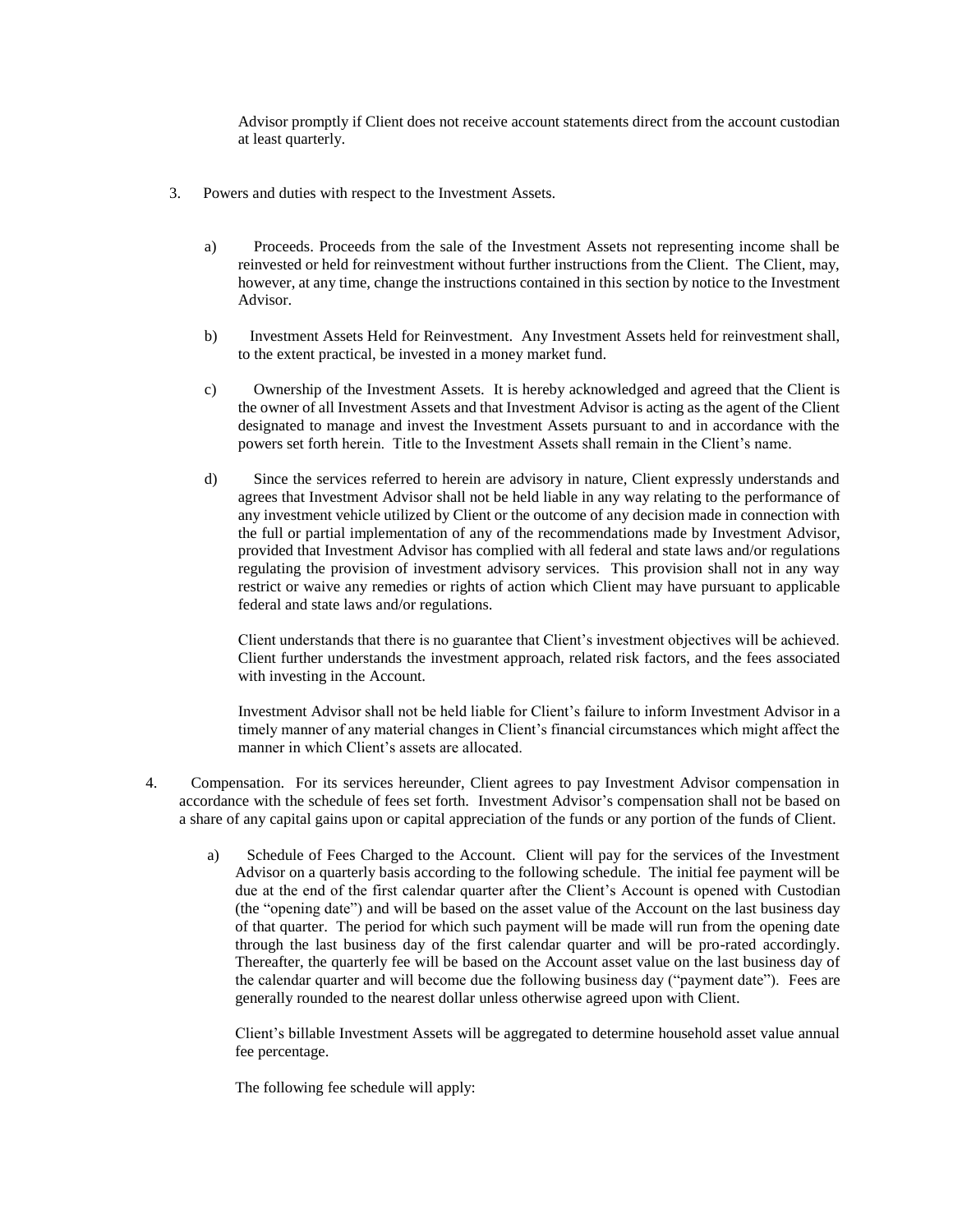Advisor promptly if Client does not receive account statements direct from the account custodian at least quarterly.

- 3. Powers and duties with respect to the Investment Assets.
	- a) Proceeds. Proceeds from the sale of the Investment Assets not representing income shall be reinvested or held for reinvestment without further instructions from the Client. The Client, may, however, at any time, change the instructions contained in this section by notice to the Investment Advisor.
	- b) Investment Assets Held for Reinvestment. Any Investment Assets held for reinvestment shall, to the extent practical, be invested in a money market fund.
	- c) Ownership of the Investment Assets. It is hereby acknowledged and agreed that the Client is the owner of all Investment Assets and that Investment Advisor is acting as the agent of the Client designated to manage and invest the Investment Assets pursuant to and in accordance with the powers set forth herein. Title to the Investment Assets shall remain in the Client's name.
	- d) Since the services referred to herein are advisory in nature, Client expressly understands and agrees that Investment Advisor shall not be held liable in any way relating to the performance of any investment vehicle utilized by Client or the outcome of any decision made in connection with the full or partial implementation of any of the recommendations made by Investment Advisor, provided that Investment Advisor has complied with all federal and state laws and/or regulations regulating the provision of investment advisory services. This provision shall not in any way restrict or waive any remedies or rights of action which Client may have pursuant to applicable federal and state laws and/or regulations.

Client understands that there is no guarantee that Client's investment objectives will be achieved. Client further understands the investment approach, related risk factors, and the fees associated with investing in the Account.

Investment Advisor shall not be held liable for Client's failure to inform Investment Advisor in a timely manner of any material changes in Client's financial circumstances which might affect the manner in which Client's assets are allocated.

- 4. Compensation. For its services hereunder, Client agrees to pay Investment Advisor compensation in accordance with the schedule of fees set forth. Investment Advisor's compensation shall not be based on a share of any capital gains upon or capital appreciation of the funds or any portion of the funds of Client.
	- a) Schedule of Fees Charged to the Account. Client will pay for the services of the Investment Advisor on a quarterly basis according to the following schedule. The initial fee payment will be due at the end of the first calendar quarter after the Client's Account is opened with Custodian (the "opening date") and will be based on the asset value of the Account on the last business day of that quarter. The period for which such payment will be made will run from the opening date through the last business day of the first calendar quarter and will be pro-rated accordingly. Thereafter, the quarterly fee will be based on the Account asset value on the last business day of the calendar quarter and will become due the following business day ("payment date"). Fees are generally rounded to the nearest dollar unless otherwise agreed upon with Client.

Client's billable Investment Assets will be aggregated to determine household asset value annual fee percentage.

The following fee schedule will apply: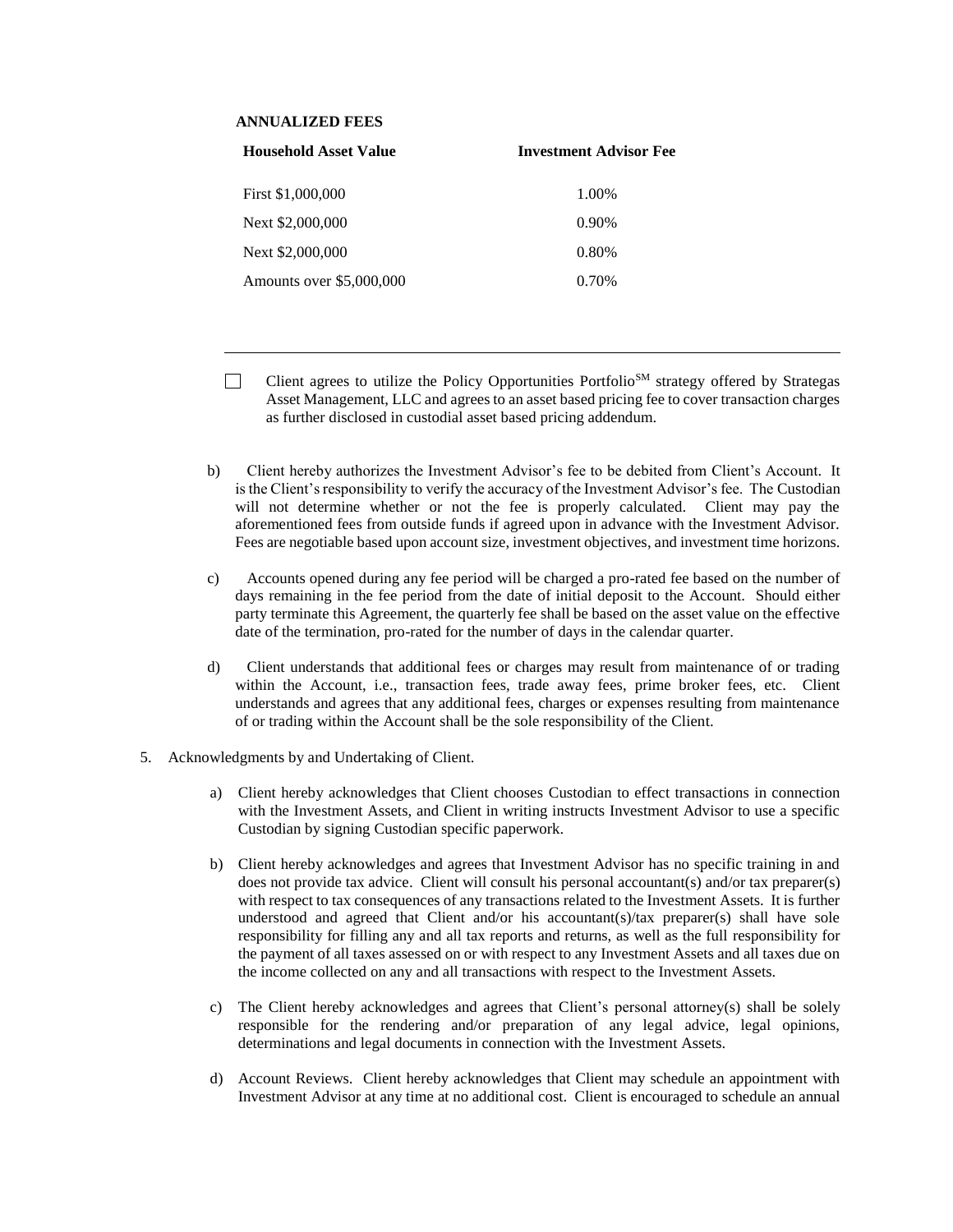# **ANNUALIZED FEES**

| <b>Household Asset Value</b> | <b>Investment Advisor Fee</b> |  |
|------------------------------|-------------------------------|--|
| First \$1,000,000            | 1.00%                         |  |
| Next \$2,000,000             | 0.90%                         |  |
| Next \$2,000,000             | 0.80%                         |  |
| Amounts over \$5,000,000     | 0.70%                         |  |

- Client agrees to utilize the Policy Opportunities Portfolio<sup>SM</sup> strategy offered by Strategas  $\perp$ Asset Management, LLC and agrees to an asset based pricing fee to cover transaction charges as further disclosed in custodial asset based pricing addendum.
- b) Client hereby authorizes the Investment Advisor's fee to be debited from Client's Account. It is the Client's responsibility to verify the accuracy of the Investment Advisor's fee. The Custodian will not determine whether or not the fee is properly calculated. Client may pay the aforementioned fees from outside funds if agreed upon in advance with the Investment Advisor. Fees are negotiable based upon account size, investment objectives, and investment time horizons.
- c) Accounts opened during any fee period will be charged a pro-rated fee based on the number of days remaining in the fee period from the date of initial deposit to the Account. Should either party terminate this Agreement, the quarterly fee shall be based on the asset value on the effective date of the termination, pro-rated for the number of days in the calendar quarter.
- d) Client understands that additional fees or charges may result from maintenance of or trading within the Account, i.e., transaction fees, trade away fees, prime broker fees, etc. Client understands and agrees that any additional fees, charges or expenses resulting from maintenance of or trading within the Account shall be the sole responsibility of the Client.
- 5. Acknowledgments by and Undertaking of Client.
	- a) Client hereby acknowledges that Client chooses Custodian to effect transactions in connection with the Investment Assets, and Client in writing instructs Investment Advisor to use a specific Custodian by signing Custodian specific paperwork.
	- b) Client hereby acknowledges and agrees that Investment Advisor has no specific training in and does not provide tax advice. Client will consult his personal accountant(s) and/or tax preparer(s) with respect to tax consequences of any transactions related to the Investment Assets. It is further understood and agreed that Client and/or his accountant(s)/tax preparer(s) shall have sole responsibility for filling any and all tax reports and returns, as well as the full responsibility for the payment of all taxes assessed on or with respect to any Investment Assets and all taxes due on the income collected on any and all transactions with respect to the Investment Assets.
	- c) The Client hereby acknowledges and agrees that Client's personal attorney(s) shall be solely responsible for the rendering and/or preparation of any legal advice, legal opinions, determinations and legal documents in connection with the Investment Assets.
	- d) Account Reviews. Client hereby acknowledges that Client may schedule an appointment with Investment Advisor at any time at no additional cost. Client is encouraged to schedule an annual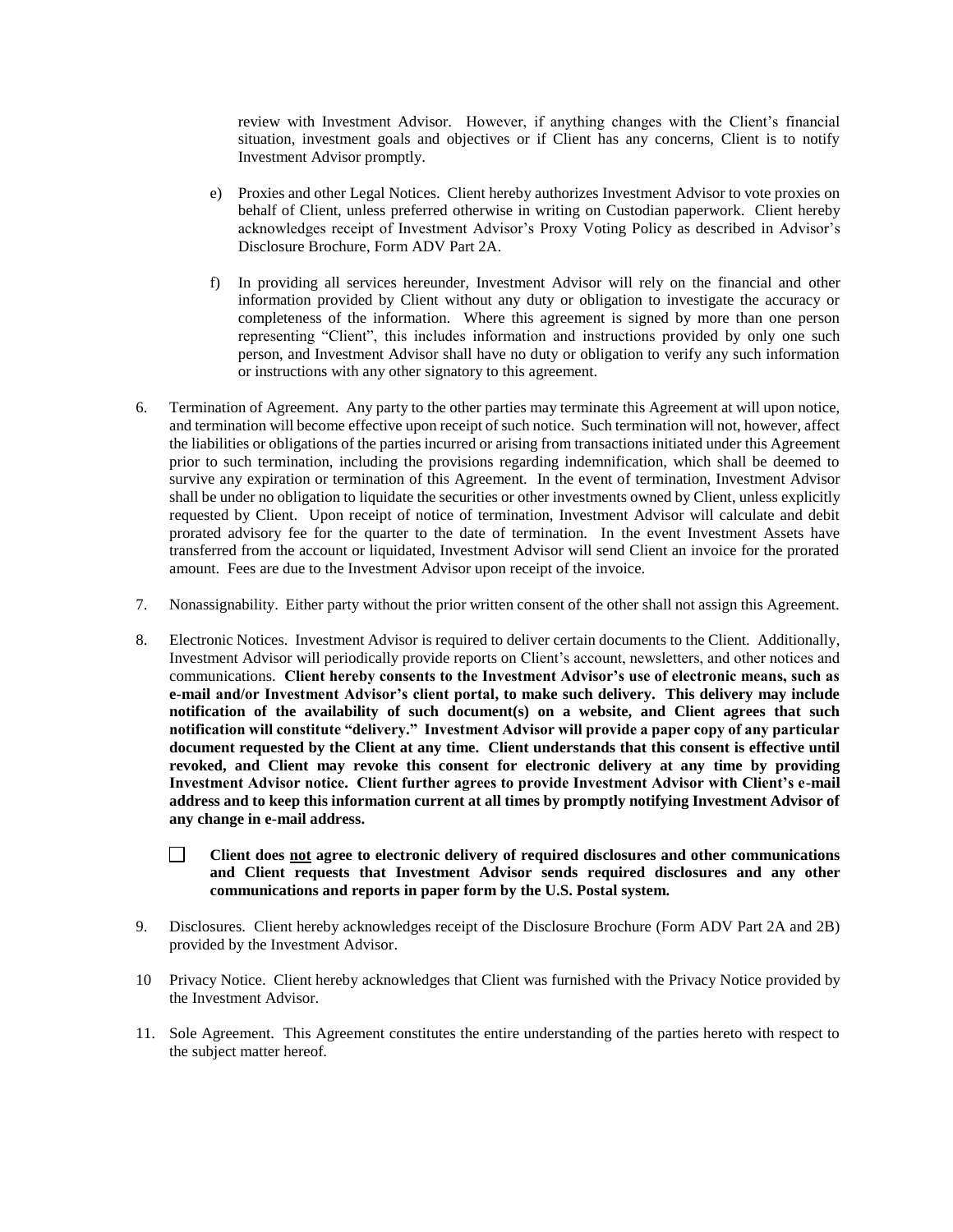review with Investment Advisor. However, if anything changes with the Client's financial situation, investment goals and objectives or if Client has any concerns, Client is to notify Investment Advisor promptly.

- e) Proxies and other Legal Notices. Client hereby authorizes Investment Advisor to vote proxies on behalf of Client, unless preferred otherwise in writing on Custodian paperwork. Client hereby acknowledges receipt of Investment Advisor's Proxy Voting Policy as described in Advisor's Disclosure Brochure, Form ADV Part 2A.
- f) In providing all services hereunder, Investment Advisor will rely on the financial and other information provided by Client without any duty or obligation to investigate the accuracy or completeness of the information. Where this agreement is signed by more than one person representing "Client", this includes information and instructions provided by only one such person, and Investment Advisor shall have no duty or obligation to verify any such information or instructions with any other signatory to this agreement.
- 6. Termination of Agreement. Any party to the other parties may terminate this Agreement at will upon notice, and termination will become effective upon receipt of such notice. Such termination will not, however, affect the liabilities or obligations of the parties incurred or arising from transactions initiated under this Agreement prior to such termination, including the provisions regarding indemnification, which shall be deemed to survive any expiration or termination of this Agreement. In the event of termination, Investment Advisor shall be under no obligation to liquidate the securities or other investments owned by Client, unless explicitly requested by Client. Upon receipt of notice of termination, Investment Advisor will calculate and debit prorated advisory fee for the quarter to the date of termination. In the event Investment Assets have transferred from the account or liquidated, Investment Advisor will send Client an invoice for the prorated amount. Fees are due to the Investment Advisor upon receipt of the invoice.
- 7. Nonassignability. Either party without the prior written consent of the other shall not assign this Agreement.
- 8. Electronic Notices. Investment Advisor is required to deliver certain documents to the Client. Additionally, Investment Advisor will periodically provide reports on Client's account, newsletters, and other notices and communications. **Client hereby consents to the Investment Advisor's use of electronic means, such as e-mail and/or Investment Advisor's client portal, to make such delivery. This delivery may include notification of the availability of such document(s) on a website, and Client agrees that such notification will constitute "delivery." Investment Advisor will provide a paper copy of any particular document requested by the Client at any time. Client understands that this consent is effective until revoked, and Client may revoke this consent for electronic delivery at any time by providing Investment Advisor notice. Client further agrees to provide Investment Advisor with Client's e-mail address and to keep this information current at all times by promptly notifying Investment Advisor of any change in e-mail address.** 
	- $\Box$ **Client does not agree to electronic delivery of required disclosures and other communications and Client requests that Investment Advisor sends required disclosures and any other communications and reports in paper form by the U.S. Postal system.**
- 9. Disclosures. Client hereby acknowledges receipt of the Disclosure Brochure (Form ADV Part 2A and 2B) provided by the Investment Advisor.
- 10 Privacy Notice. Client hereby acknowledges that Client was furnished with the Privacy Notice provided by the Investment Advisor.
- 11. Sole Agreement. This Agreement constitutes the entire understanding of the parties hereto with respect to the subject matter hereof.